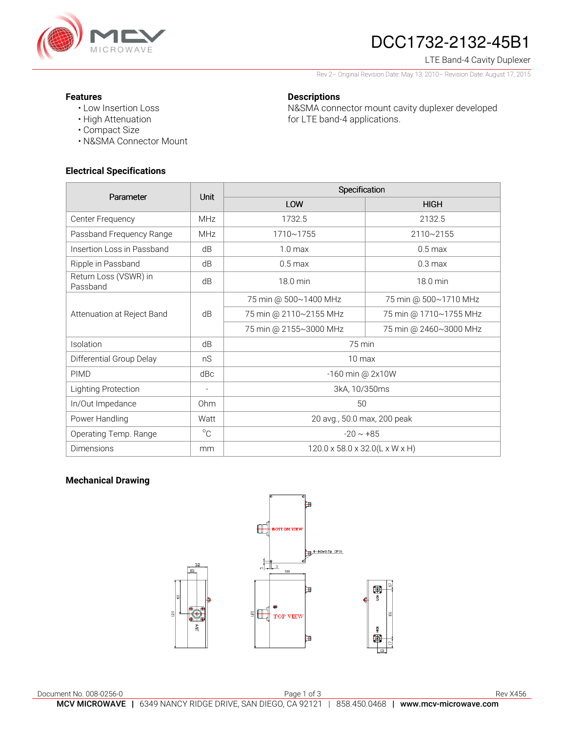

# DCC1732-2132-45B1

## LTE Band-4 Cavity Duplexer

Rev 2– Original Revision Date: May 13, 2010– Revision Date: August 17, 2015

N&SMA connector mount cavity duplexer developed

### **Features**

- Low Insertion Loss
- High Attenuation
- Compact Size
- N&SMA Connector Mount

## **Electrical Specifications**

| Parameter                         | <b>Unit</b>              | Specification                  |                        |
|-----------------------------------|--------------------------|--------------------------------|------------------------|
|                                   |                          | LOW                            | <b>HIGH</b>            |
| Center Frequency                  | <b>MHz</b>               | 1732.5                         | 2132.5                 |
| Passband Frequency Range          | <b>MHz</b>               | 1710~1755                      | 2110~2155              |
| Insertion Loss in Passband        | dB                       | $1.0 \text{ max}$              | $0.5 \text{ max}$      |
| Ripple in Passband                | dB                       | $0.5 \text{ max}$              | 0.3 <sub>max</sub>     |
| Return Loss (VSWR) in<br>Passband | dB                       | 18.0 min                       | 18.0 min               |
| Attenuation at Reject Band        | dB                       | 75 min @ 500~1400 MHz          | 75 min @ 500~1710 MHz  |
|                                   |                          | 75 min @ 2110~2155 MHz         | 75 min @ 1710~1755 MHz |
|                                   |                          | 75 min @ 2155~3000 MHz         | 75 min @ 2460~3000 MHz |
| Isolation                         | dB                       | 75 min                         |                        |
| Differential Group Delay          | nS                       | 10 max                         |                        |
| <b>PIMD</b>                       | dBc                      | -160 min @ 2x10W               |                        |
| Lighting Protection               | $\overline{\phantom{a}}$ | 3kA, 10/350ms                  |                        |
| In/Out Impedance                  | Ohm                      | 50                             |                        |
| Power Handling                    | Watt                     | 20 avg., 50.0 max, 200 peak    |                        |
| Operating Temp. Range             | $^{\circ}C$              | $-20 \sim +85$                 |                        |
| Dimensions                        | mm                       | 120.0 x 58.0 x 32.0(L x W x H) |                        |

**Descriptions** 

for LTE band-4 applications.

## **Mechanical Drawing**

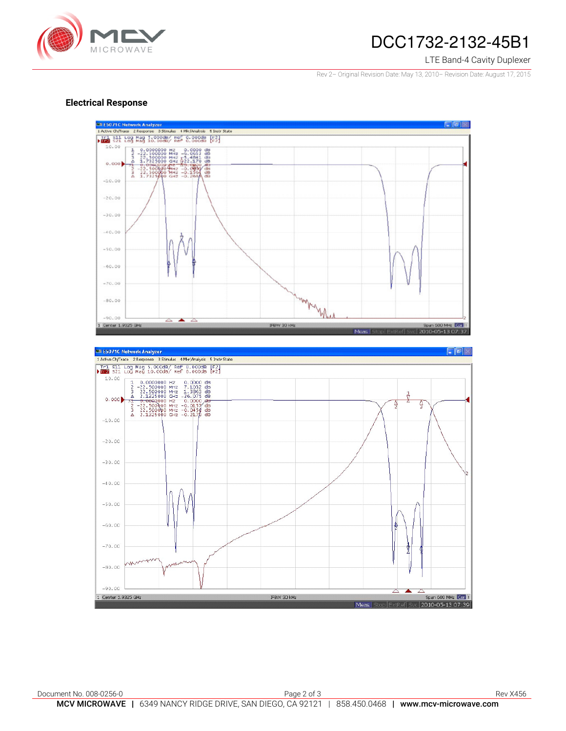

# DCC1732-2132-45B1

#### LTE Band-4 Cavity Duplexer

Rev 2– Original Revision Date: May 13, 2010– Revision Date: August 17, 2015

### **Electrical Response**